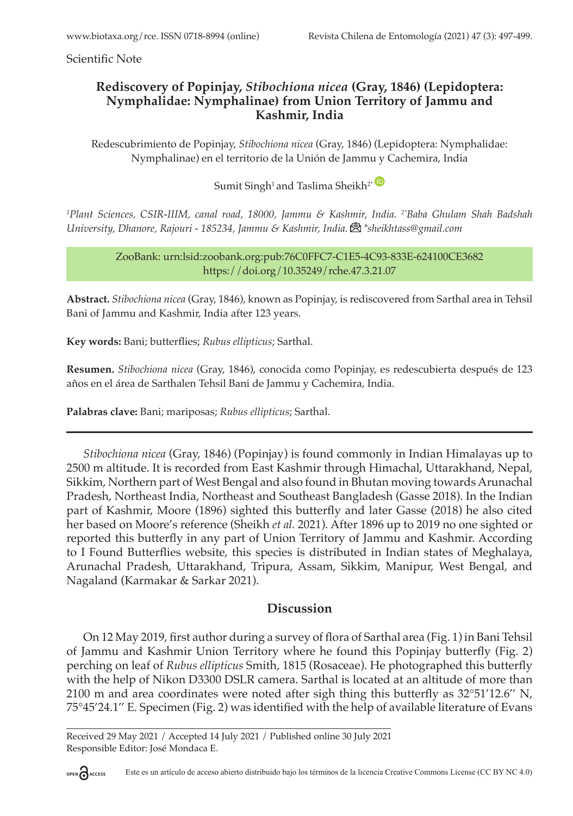Scientific Note

### **Rediscovery of Popinjay,** *Stibochiona nicea* **(Gray, 1846) (Lepidoptera: Nymphalidae: Nymphalinae) from Union Territory of Jammu and Kashmir, India**

Redescubrimiento de Popinjay, *Stibochiona nicea* (Gray, 1846) (Lepidoptera: Nymphalidae: Nymphalinae) en el territorio de la Unión de Jammu y Cachemira, India

# Sumit Singh<sup>1</sup> and Taslima Sheikh<sup>2\*</sub></sup>

*<sup>1</sup>Plant Sciences, CSIR-IIIM, canal road, 18000, Jammu & Kashmir, India. 2\*Baba Ghulam Shah Badshah University, Dhanore, Rajouri - 185234, Jammu & Kashmir, India.\*sheikhtass@gmail.com*

> ZooBank: urn:lsid:zoobank.org:pub:76C0FFC7-C1E5-4C93-833E-624100CE3682 https://doi.org/10.35249/rche.47.3.21.07

**Abstract.** *Stibochiona nicea* (Gray, 1846), known as Popinjay, is rediscovered from Sarthal area in Tehsil Bani of Jammu and Kashmir, India after 123 years.

**Key words:** Bani; butterflies; *Rubus ellipticus*; Sarthal.

**Resumen.** *Stibochiona nicea* (Gray, 1846), conocida como Popinjay, es redescubierta después de 123 años en el área de Sarthalen Tehsil Bani de Jammu y Cachemira, India.

**Palabras clave:** Bani; mariposas; *Rubus ellipticus*; Sarthal.

*Stibochiona nicea* (Gray, 1846) (Popinjay) is found commonly in Indian Himalayas up to 2500 m altitude. It is recorded from East Kashmir through Himachal, Uttarakhand, Nepal, Sikkim, Northern part of West Bengal and also found in Bhutan moving towards Arunachal Pradesh, Northeast India, Northeast and Southeast Bangladesh (Gasse 2018). In the Indian part of Kashmir, Moore (1896) sighted this butterfly and later Gasse (2018) he also cited her based on Moore's reference (Sheikh *et al.* 2021). After 1896 up to 2019 no one sighted or reported this butterfly in any part of Union Territory of Jammu and Kashmir. According to I Found Butterflies website, this species is distributed in Indian states of Meghalaya, Arunachal Pradesh, Uttarakhand, Tripura, Assam, Sikkim, Manipur, West Bengal, and Nagaland (Karmakar & Sarkar 2021).

#### **Discussion**

On 12 May 2019, first author during a survey of flora of Sarthal area (Fig. 1) in Bani Tehsil of Jammu and Kashmir Union Territory where he found this Popinjay butterfly (Fig. 2) perching on leaf of *Rubus ellipticus* Smith, 1815 (Rosaceae). He photographed this butterfly with the help of Nikon D3300 DSLR camera. Sarthal is located at an altitude of more than 2100 m and area coordinates were noted after sigh thing this butterfly as 32°51'12.6'' N, 75°45'24.1'' E. Specimen (Fig. 2) was identified with the help of available literature of Evans

Received 29 May 2021 / Accepted 14 July 2021 / Published online 30 July 2021 Responsible Editor: José Mondaca E.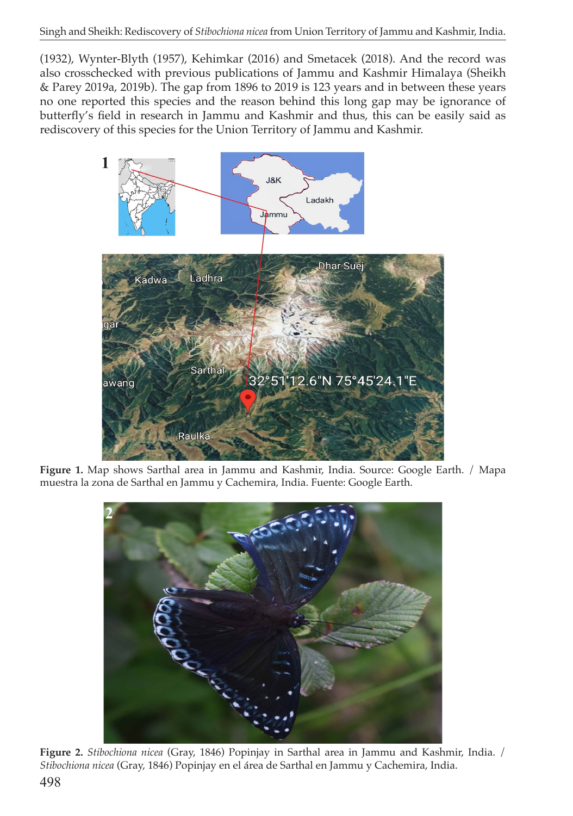(1932), Wynter-Blyth (1957), Kehimkar (2016) and Smetacek (2018). And the record was also crosschecked with previous publications of Jammu and Kashmir Himalaya (Sheikh & Parey 2019a, 2019b). The gap from 1896 to 2019 is 123 years and in between these years no one reported this species and the reason behind this long gap may be ignorance of butterfly's field in research in Jammu and Kashmir and thus, this can be easily said as rediscovery of this species for the Union Territory of Jammu and Kashmir.



**Figure 1.** Map shows Sarthal area in Jammu and Kashmir, India. Source: Google Earth. / Mapa muestra la zona de Sarthal en Jammu y Cachemira, India. Fuente: Google Earth.



**Figure 2.** *Stibochiona nicea* (Gray, 1846) Popinjay in Sarthal area in Jammu and Kashmir, India. / *Stibochiona nicea* (Gray, 1846) Popinjay en el área de Sarthal en Jammu y Cachemira, India.